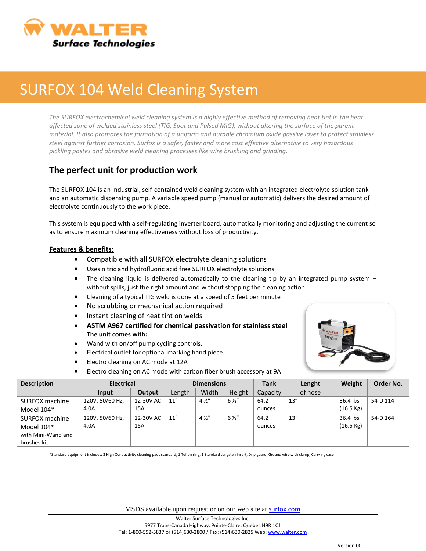

## SURFOX 104 Weld Cleaning System

*The SURFOX electrochemical weld cleaning system is a highly effective method of removing heat tint in the heat affected zone of welded stainless steel (TIG, Spot and Pulsed MIG), without altering the surface of the parent material. It also promotes the formation of a uniform and durable chromium oxide passive layer to protect stainless steel against further corrosion. Surfox is a safer, faster and more cost effective alternative to very hazardous pickling pastes and abrasive weld cleaning processes like wire brushing and grinding.*

## **The perfect unit for production work**

The SURFOX 104 is an industrial, self-contained weld cleaning system with an integrated electrolyte solution tank and an automatic dispensing pump. A variable speed pump (manual or automatic) delivers the desired amount of electrolyte continuously to the work piece.

This system is equipped with a self-regulating inverter board, automatically monitoring and adjusting the current so as to ensure maximum cleaning effectiveness without loss of productivity.

## **Features & benefits:**

- Compatible with all SURFOX electrolyte cleaning solutions
- Uses nitric and hydrofluoric acid free SURFOX electrolyte solutions
- The cleaning liquid is delivered automatically to the cleaning tip by an integrated pump system without spills, just the right amount and without stopping the cleaning action
- Cleaning of a typical TIG weld is done at a speed of 5 feet per minute
- No scrubbing or mechanical action required
- Instant cleaning of heat tint on welds
- **ASTM A967 certified for chemical passivation for stainless steel The unit comes with:**
- Wand with on/off pump cycling controls.
- Electrical outlet for optional marking hand piece.
- Electro cleaning on AC mode at 12A
- Electro cleaning on AC mode with carbon fiber brush accessory at 9A



| <b>Description</b> | <b>Electrical</b> |           | <b>Dimensions</b> |                |                | <b>Tank</b> | Lenght  | Weight              | Order No. |
|--------------------|-------------------|-----------|-------------------|----------------|----------------|-------------|---------|---------------------|-----------|
|                    | Input             | Output    | Length            | Width          | Height         | Capacity    | of hose |                     |           |
| SURFOX machine     | 120V, 50/60 Hz,   | 12-30V AC | 11'               | $4\frac{1}{2}$ | $6\frac{1}{2}$ | 64.2        | 13''    | 36.4 lbs            | 54-D 114  |
| Model 104*         | 4.0A              | 15A       |                   |                |                | ounces      |         | $(16.5 \text{ kg})$ |           |
| SURFOX machine     | 120V, 50/60 Hz,   | 12-30V AC | 11'               | $4\frac{1}{2}$ | $6\frac{1}{2}$ | 64.2        | 13''    | 36.4 lbs            | 54-D 164  |
| Model 104*         | 4.0A              | 15A       |                   |                |                | ounces      |         | $(16.5 \text{ kg})$ |           |
| with Mini-Wand and |                   |           |                   |                |                |             |         |                     |           |
| brushes kit        |                   |           |                   |                |                |             |         |                     |           |

\*Standard equipment includes: 3 High Conductivity cleaning pads standard, 1 Teflon ring, 1 Standard tungsten insert, Drip guard, Ground wire with clamp, Carrying case

MSDS available upon request or on our web site at **[surfox.com](http://www.surfox.com/)**